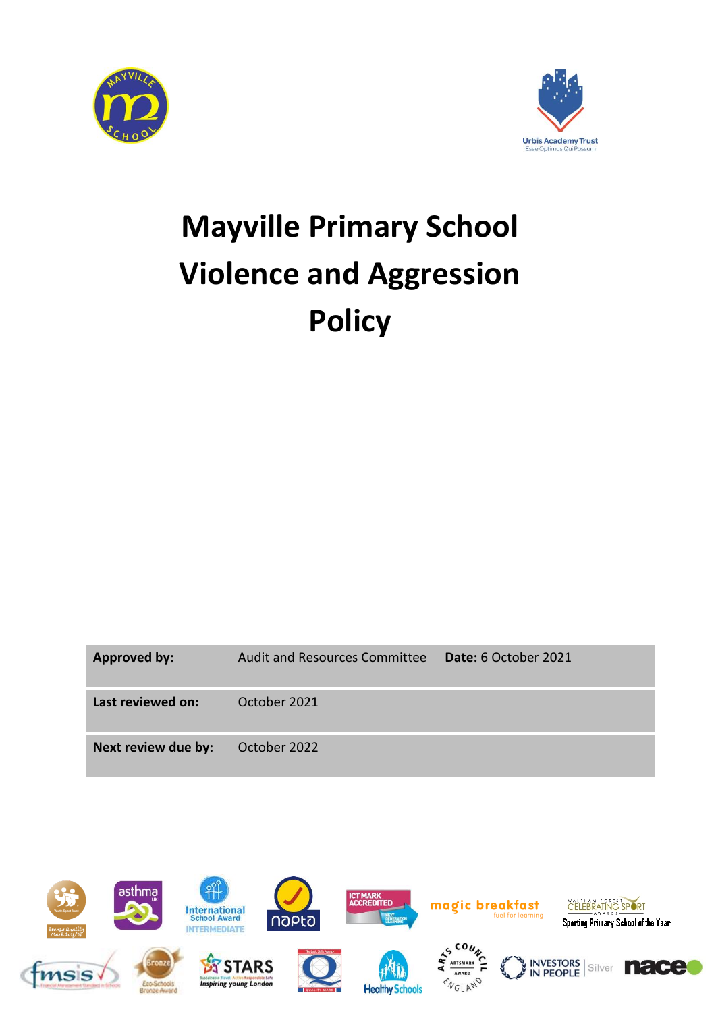



## **Mayville Primary School Violence and Aggression Policy**

| <b>Approved by:</b> | Audit and Resources Committee | <b>Date:</b> 6 October 2021 |
|---------------------|-------------------------------|-----------------------------|
| Last reviewed on:   | October 2021                  |                             |
| Next review due by: | October 2022                  |                             |